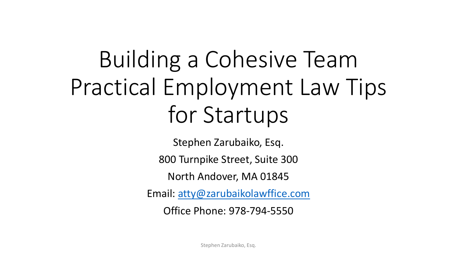# Building a Cohesive Team Practical Employment Law Tips for Startups

Stephen Zarubaiko, Esq.

800 Turnpike Street, Suite 300

North Andover, MA 01845

Email: [atty@zarubaikolawffice.com](mailto:atty@zarubaikolawffice.com)

Office Phone: 978-794-5550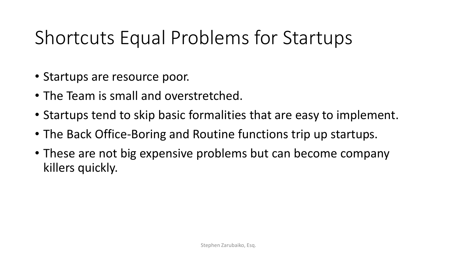#### Shortcuts Equal Problems for Startups

- Startups are resource poor.
- The Team is small and overstretched.
- Startups tend to skip basic formalities that are easy to implement.
- The Back Office-Boring and Routine functions trip up startups.
- These are not big expensive problems but can become company killers quickly.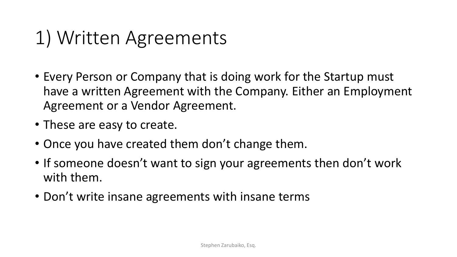#### 1) Written Agreements

- Every Person or Company that is doing work for the Startup must have a written Agreement with the Company. Either an Employment Agreement or a Vendor Agreement.
- These are easy to create.
- Once you have created them don't change them.
- If someone doesn't want to sign your agreements then don't work with them.
- Don't write insane agreements with insane terms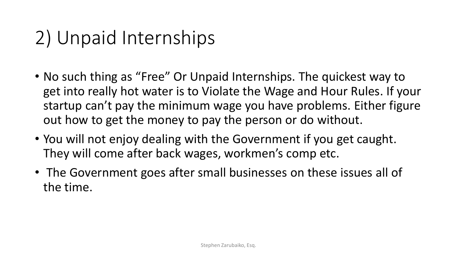## 2) Unpaid Internships

- No such thing as "Free" Or Unpaid Internships. The quickest way to get into really hot water is to Violate the Wage and Hour Rules. If your startup can't pay the minimum wage you have problems. Either figure out how to get the money to pay the person or do without.
- You will not enjoy dealing with the Government if you get caught. They will come after back wages, workmen's comp etc.
- The Government goes after small businesses on these issues all of the time.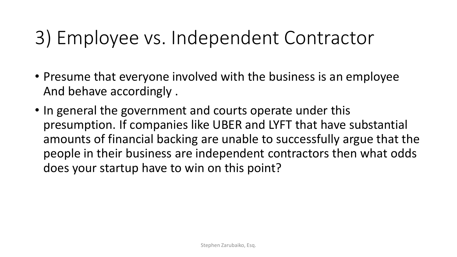#### 3) Employee vs. Independent Contractor

- Presume that everyone involved with the business is an employee And behave accordingly .
- In general the government and courts operate under this presumption. If companies like UBER and LYFT that have substantial amounts of financial backing are unable to successfully argue that the people in their business are independent contractors then what odds does your startup have to win on this point?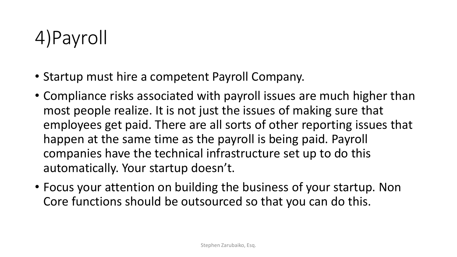## 4)Payroll

- Startup must hire a competent Payroll Company.
- Compliance risks associated with payroll issues are much higher than most people realize. It is not just the issues of making sure that employees get paid. There are all sorts of other reporting issues that happen at the same time as the payroll is being paid. Payroll companies have the technical infrastructure set up to do this automatically. Your startup doesn't.
- Focus your attention on building the business of your startup. Non Core functions should be outsourced so that you can do this.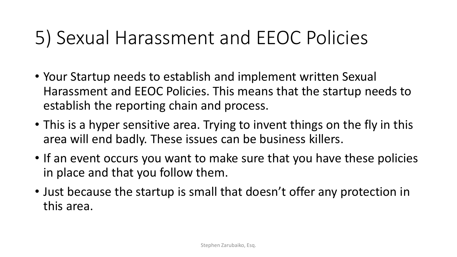#### 5) Sexual Harassment and EEOC Policies

- Your Startup needs to establish and implement written Sexual Harassment and EEOC Policies. This means that the startup needs to establish the reporting chain and process.
- This is a hyper sensitive area. Trying to invent things on the fly in this area will end badly. These issues can be business killers.
- If an event occurs you want to make sure that you have these policies in place and that you follow them.
- Just because the startup is small that doesn't offer any protection in this area.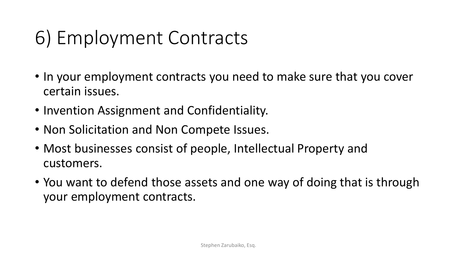## 6) Employment Contracts

- In your employment contracts you need to make sure that you cover certain issues.
- Invention Assignment and Confidentiality.
- Non Solicitation and Non Compete Issues.
- Most businesses consist of people, Intellectual Property and customers.
- You want to defend those assets and one way of doing that is through your employment contracts.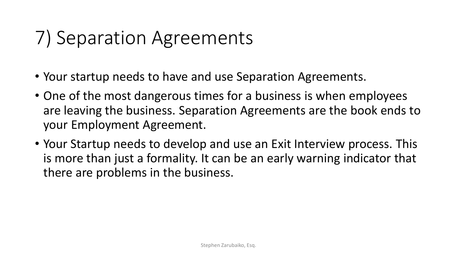## 7) Separation Agreements

- Your startup needs to have and use Separation Agreements.
- One of the most dangerous times for a business is when employees are leaving the business. Separation Agreements are the book ends to your Employment Agreement.
- Your Startup needs to develop and use an Exit Interview process. This is more than just a formality. It can be an early warning indicator that there are problems in the business.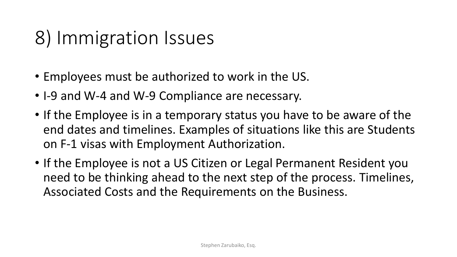## 8) Immigration Issues

- Employees must be authorized to work in the US.
- I-9 and W-4 and W-9 Compliance are necessary.
- If the Employee is in a temporary status you have to be aware of the end dates and timelines. Examples of situations like this are Students on F-1 visas with Employment Authorization.
- If the Employee is not a US Citizen or Legal Permanent Resident you need to be thinking ahead to the next step of the process. Timelines, Associated Costs and the Requirements on the Business.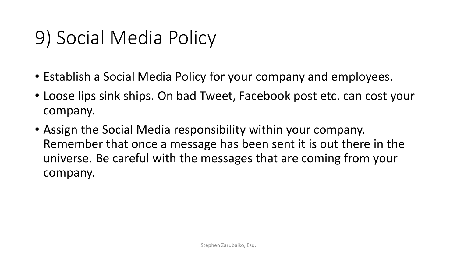## 9) Social Media Policy

- Establish a Social Media Policy for your company and employees.
- Loose lips sink ships. On bad Tweet, Facebook post etc. can cost your company.
- Assign the Social Media responsibility within your company. Remember that once a message has been sent it is out there in the universe. Be careful with the messages that are coming from your company.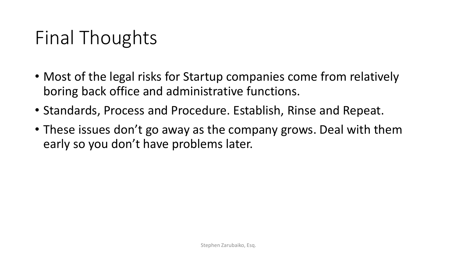## Final Thoughts

- Most of the legal risks for Startup companies come from relatively boring back office and administrative functions.
- Standards, Process and Procedure. Establish, Rinse and Repeat.
- These issues don't go away as the company grows. Deal with them early so you don't have problems later.